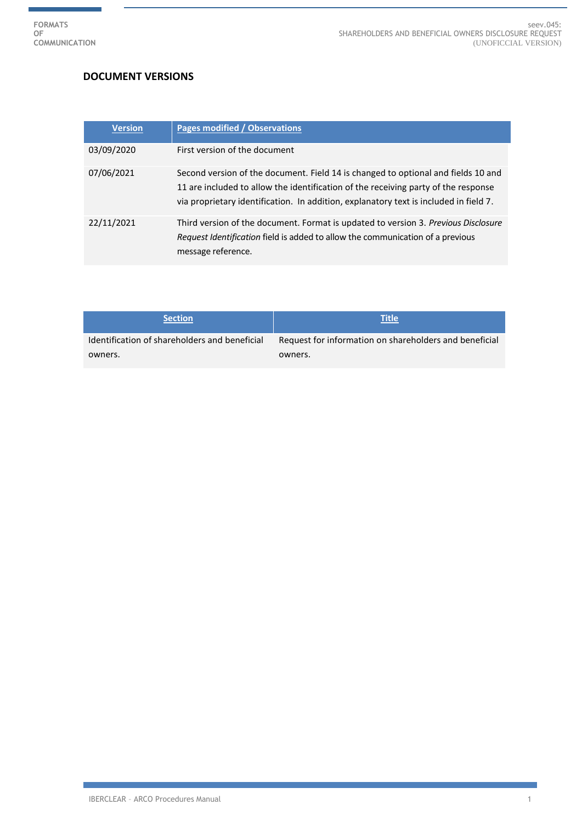## **DOCUMENT VERSIONS**

| <b>Version</b> | Pages modified / Observations                                                                                                                                                                                                                                    |
|----------------|------------------------------------------------------------------------------------------------------------------------------------------------------------------------------------------------------------------------------------------------------------------|
| 03/09/2020     | First version of the document                                                                                                                                                                                                                                    |
| 07/06/2021     | Second version of the document. Field 14 is changed to optional and fields 10 and<br>11 are included to allow the identification of the receiving party of the response<br>via proprietary identification. In addition, explanatory text is included in field 7. |
| 22/11/2021     | Third version of the document. Format is updated to version 3. Previous Disclosure<br>Request Identification field is added to allow the communication of a previous<br>message reference.                                                                       |

| <b>Section</b>                                | <b>Title</b>                                           |
|-----------------------------------------------|--------------------------------------------------------|
| Identification of shareholders and beneficial | Request for information on shareholders and beneficial |
| owners.                                       | owners.                                                |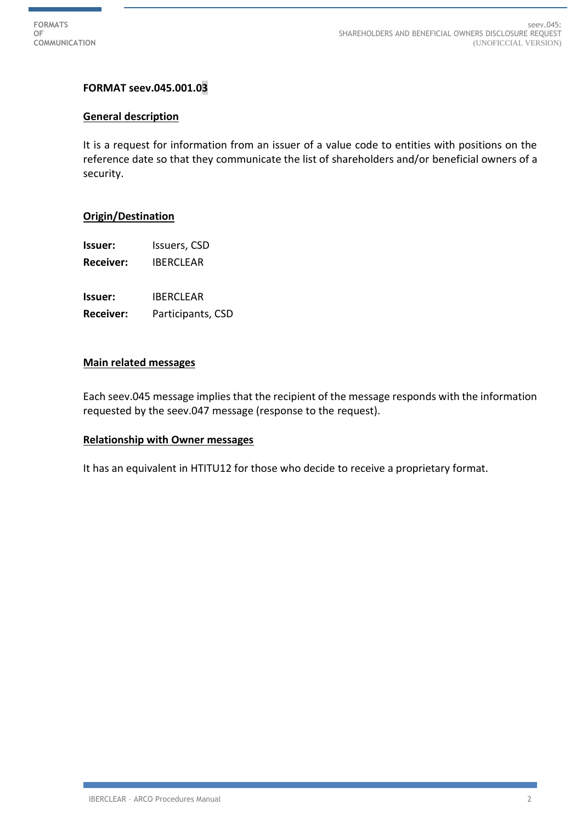## **FORMAT seev.045.001.03**

#### **General description**

It is a request for information from an issuer of a value code to entities with positions on the reference date so that they communicate the list of shareholders and/or beneficial owners of a security.

#### **Origin/Destination**

**Issuer:** Issuers, CSD

**Receiver:** IBERCLEAR

**Issuer:** IBERCLEAR

**Receiver:** Participants, CSD

#### **Main related messages**

Each seev.045 message implies that the recipient of the message responds with the information requested by the seev.047 message (response to the request).

### **Relationship with Owner messages**

It has an equivalent in HTITU12 for those who decide to receive a proprietary format.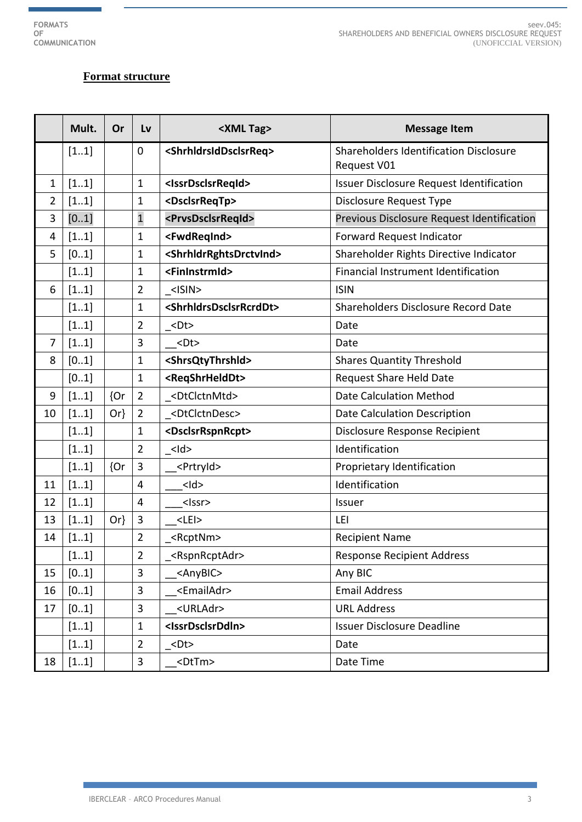# **Format structure**

|                | Mult. | Or     | Lv                      | <xml tag=""></xml>                            | <b>Message Item</b>                                   |
|----------------|-------|--------|-------------------------|-----------------------------------------------|-------------------------------------------------------|
|                | [11]  |        | $\mathbf 0$             | <shrhldrsiddsclsrreq></shrhldrsiddsclsrreq>   | Shareholders Identification Disclosure<br>Request V01 |
| $\mathbf{1}$   | [11]  |        | 1                       | <issrdsclsrreqid></issrdsclsrreqid>           | Issuer Disclosure Request Identification              |
| $\overline{2}$ | [11]  |        | 1                       | <dsclsrreqtp></dsclsrreqtp>                   | Disclosure Request Type                               |
| 3              | [01]  |        | $\mathbf{1}$            | <prvsdsclsrreqid></prvsdsclsrreqid>           | Previous Disclosure Request Identification            |
| 4              | [11]  |        | $\mathbf 1$             | <fwdreqind></fwdreqind>                       | Forward Request Indicator                             |
| 5              | [01]  |        | $\mathbf 1$             | <shrhldrrghtsdrctvind></shrhldrrghtsdrctvind> | Shareholder Rights Directive Indicator                |
|                | [11]  |        | $\mathbf 1$             | <fininstrmid></fininstrmid>                   | Financial Instrument Identification                   |
| 6              | [11]  |        | $\overline{2}$          | $<$ ISIN $>$                                  | <b>ISIN</b>                                           |
|                | [11]  |        | $\mathbf 1$             | <shrhldrsdsclsrrcrddt></shrhldrsdsclsrrcrddt> | Shareholders Disclosure Record Date                   |
|                | [11]  |        | $\overline{2}$          | $<$ Dt $>$                                    | Date                                                  |
| $\overline{7}$ | [11]  |        | 3                       | $<$ Dt $>$                                    | Date                                                  |
| 8              | [01]  |        | 1                       | <shrsqtythrshid></shrsqtythrshid>             | <b>Shares Quantity Threshold</b>                      |
|                | [01]  |        | $\mathbf 1$             | <reqshrhelddt></reqshrhelddt>                 | <b>Request Share Held Date</b>                        |
| 9              | [11]  | {Or    | $\overline{2}$          | <dtclctnmtd></dtclctnmtd>                     | <b>Date Calculation Method</b>                        |
| 10             | [11]  | $Or\}$ | $\overline{2}$          | <dtclctndesc></dtclctndesc>                   | Date Calculation Description                          |
|                | [11]  |        | 1                       | <dsclsrrspnrcpt></dsclsrrspnrcpt>             | Disclosure Response Recipient                         |
|                | [11]  |        | $\overline{2}$          | $<$ Id $>$                                    | Identification                                        |
|                | [11]  | {Or    | $\overline{3}$          | <prtryid></prtryid>                           | Proprietary Identification                            |
| 11             | [11]  |        | $\overline{4}$          | $<$ Id>                                       | Identification                                        |
| 12             | [11]  |        | $\overline{4}$          | <lssr></lssr>                                 | Issuer                                                |
| 13             | [11]  | $Or\}$ | $\overline{3}$          | $<$ LEI $>$                                   | LEI                                                   |
| 14             | [11]  |        | $\overline{2}$          | _ <rcptnm></rcptnm>                           | <b>Recipient Name</b>                                 |
|                | [11]  |        | $\overline{\mathbf{c}}$ | <rspnrcptadr></rspnrcptadr>                   | <b>Response Recipient Address</b>                     |
| 15             | [01]  |        | 3                       | <anybic></anybic>                             | Any BIC                                               |
| 16             | [01]  |        | $\overline{3}$          | <emailadr></emailadr>                         | <b>Email Address</b>                                  |
| 17             | [01]  |        | $\overline{3}$          | <urladr></urladr>                             | <b>URL Address</b>                                    |
|                | [11]  |        | $\mathbf{1}$            | <issrdsclsrddin></issrdsclsrddin>             | <b>Issuer Disclosure Deadline</b>                     |
|                | [11]  |        | $\overline{2}$          | $<$ Dt $>$                                    | Date                                                  |
| 18             | [11]  |        | $\mathbf{3}$            | <dttm></dttm>                                 | Date Time                                             |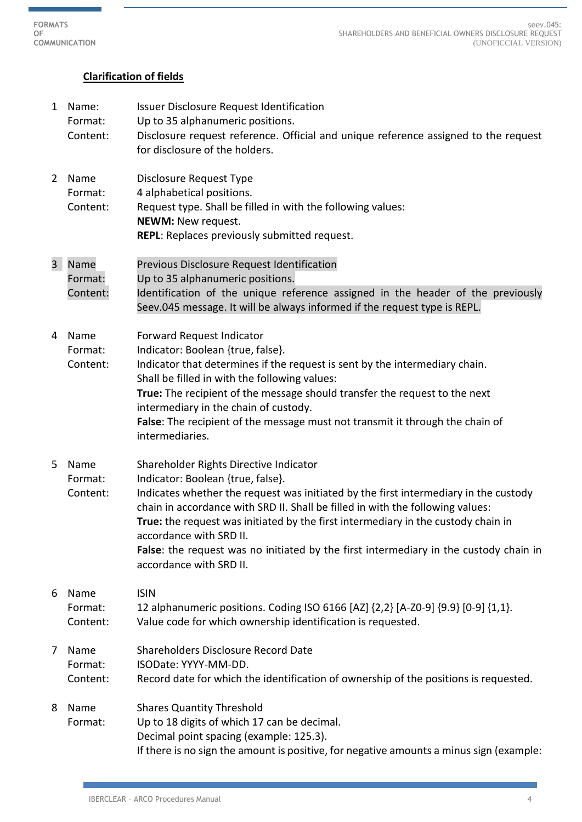## **Clarification of fields**

1 Name: Issuer Disclosure Request Identification Format: Up to 35 alphanumeric positions. Content: Disclosure request reference. Official and unique reference assigned to the request for disclosure of the holders. 2 Name Disclosure Request Type Format: 4 alphabetical positions. Content: Request type. Shall be filled in with the following values: **NEWM:** New request. **REPL**: Replaces previously submitted request. 3 Name Previous Disclosure Request Identification Format: Up to 35 alphanumeric positions. Content: Identification of the unique reference assigned in the header of the previously Seev.045 message. It will be always informed if the request type is REPL. 4 Name Forward Request Indicator Format: Indicator: Boolean {true, false}. Content: Indicator that determines if the request is sent by the intermediary chain. Shall be filled in with the following values: **True:** The recipient of the message should transfer the request to the next intermediary in the chain of custody. **False**: The recipient of the message must not transmit it through the chain of intermediaries. 5 Name Shareholder Rights Directive Indicator Format: Indicator: Boolean {true, false}. Content: Indicates whether the request was initiated by the first intermediary in the custody chain in accordance with SRD II. Shall be filled in with the following values: **True:** the request was initiated by the first intermediary in the custody chain in accordance with SRD II. **False**: the request was no initiated by the first intermediary in the custody chain in accordance with SRD II. 6 Name ISIN Format: 12 alphanumeric positions. Coding ISO 6166 [AZ] {2,2} [A-Z0-9] {9.9} [0-9] {1,1}. Content: Value code for which ownership identification is requested. 7 Name Shareholders Disclosure Record Date Format: ISODate: YYYY-MM-DD. Content: Record date for which the identification of ownership of the positions is requested. 8 Name Shares Quantity Threshold Format: Up to 18 digits of which 17 can be decimal. Decimal point spacing (example: 125.3). If there is no sign the amount is positive, for negative amounts a minus sign (example: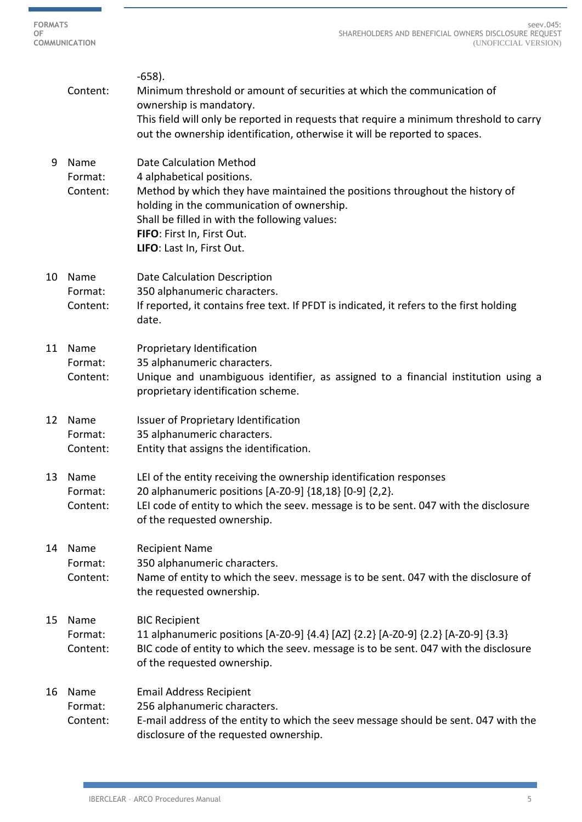i.

|    | Content:                    | $-658$ ).<br>Minimum threshold or amount of securities at which the communication of<br>ownership is mandatory.<br>This field will only be reported in requests that require a minimum threshold to carry<br>out the ownership identification, otherwise it will be reported to spaces.               |
|----|-----------------------------|-------------------------------------------------------------------------------------------------------------------------------------------------------------------------------------------------------------------------------------------------------------------------------------------------------|
| 9  | Name<br>Format:<br>Content: | <b>Date Calculation Method</b><br>4 alphabetical positions.<br>Method by which they have maintained the positions throughout the history of<br>holding in the communication of ownership.<br>Shall be filled in with the following values:<br>FIFO: First In, First Out.<br>LIFO: Last In, First Out. |
| 10 | Name<br>Format:<br>Content: | Date Calculation Description<br>350 alphanumeric characters.<br>If reported, it contains free text. If PFDT is indicated, it refers to the first holding<br>date.                                                                                                                                     |
| 11 | Name<br>Format:<br>Content: | Proprietary Identification<br>35 alphanumeric characters.<br>Unique and unambiguous identifier, as assigned to a financial institution using a<br>proprietary identification scheme.                                                                                                                  |
| 12 | Name<br>Format:<br>Content: | Issuer of Proprietary Identification<br>35 alphanumeric characters.<br>Entity that assigns the identification.                                                                                                                                                                                        |
| 13 | Name<br>Format:<br>Content: | LEI of the entity receiving the ownership identification responses<br>20 alphanumeric positions [A-Z0-9] {18,18} [0-9] {2,2}.<br>LEI code of entity to which the seev. message is to be sent. 047 with the disclosure<br>of the requested ownership.                                                  |
| 14 | Name<br>Format:<br>Content: | <b>Recipient Name</b><br>350 alphanumeric characters.<br>Name of entity to which the seev. message is to be sent. 047 with the disclosure of<br>the requested ownership.                                                                                                                              |
| 15 | Name<br>Format:<br>Content: | <b>BIC Recipient</b><br>11 alphanumeric positions [A-Z0-9] {4.4} [AZ] {2.2} [A-Z0-9] {2.2} [A-Z0-9] {3.3}<br>BIC code of entity to which the seev. message is to be sent. 047 with the disclosure<br>of the requested ownership.                                                                      |
| 16 | Name<br>Format:<br>Content: | <b>Email Address Recipient</b><br>256 alphanumeric characters.<br>E-mail address of the entity to which the seev message should be sent. 047 with the<br>disclosure of the requested ownership.                                                                                                       |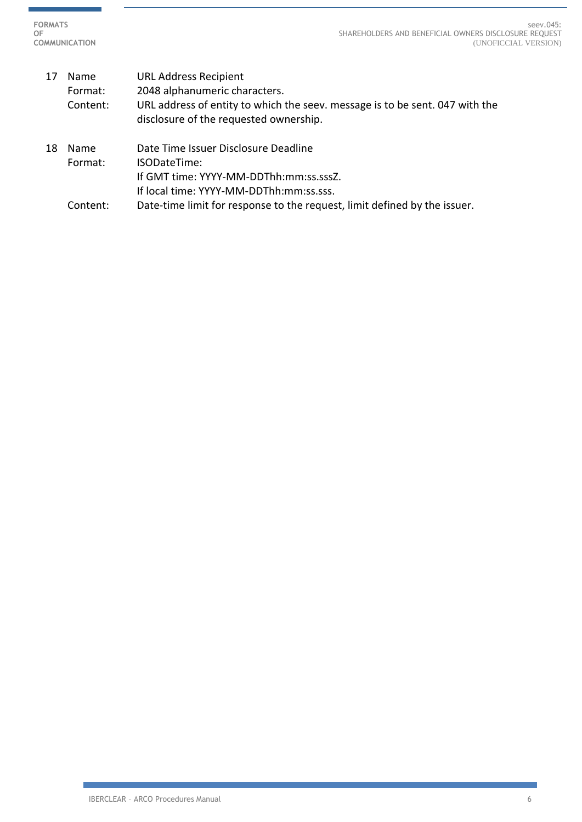> 17 Name URL Address Recipient Format: 2048 alphanumeric characters. Content: URL address of entity to which the seev. message is to be sent. 047 with the disclosure of the requested ownership. 18 Name Date Time Issuer Disclosure Deadline Format: ISODateTime: If GMT time: YYYY-MM-DDThh:mm:ss.sssZ. If local time: YYYY-MM-DDThh:mm:ss.sss. Content: Date-time limit for response to the request, limit defined by the issuer.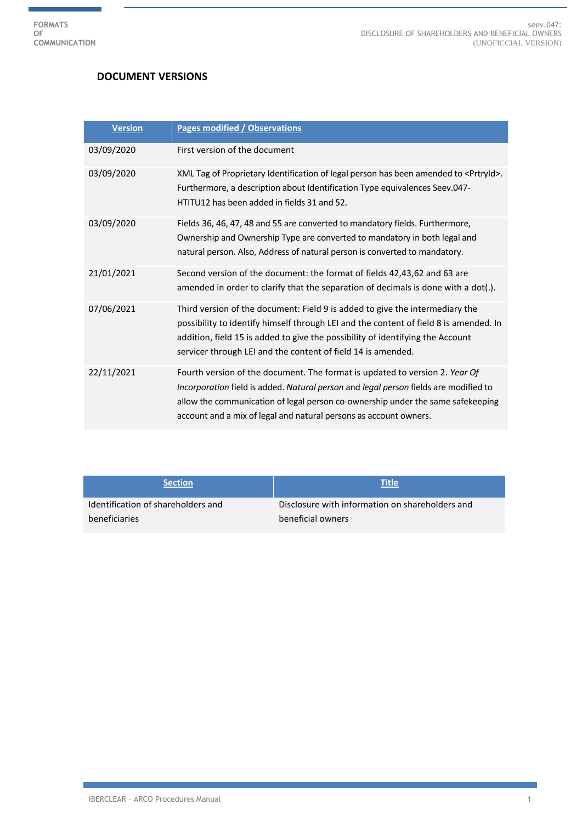## **DOCUMENT VERSIONS**

| <b>Version</b> | <b>Pages modified / Observations</b>                                                                                                                                                                                                                                                                                        |
|----------------|-----------------------------------------------------------------------------------------------------------------------------------------------------------------------------------------------------------------------------------------------------------------------------------------------------------------------------|
| 03/09/2020     | First version of the document                                                                                                                                                                                                                                                                                               |
| 03/09/2020     | XML Tag of Proprietary Identification of legal person has been amended to <prtryid>.<br/>Furthermore, a description about Identification Type equivalences Seev.047-<br/>HTITU12 has been added in fields 31 and 52.</prtryid>                                                                                              |
| 03/09/2020     | Fields 36, 46, 47, 48 and 55 are converted to mandatory fields. Furthermore,<br>Ownership and Ownership Type are converted to mandatory in both legal and<br>natural person. Also, Address of natural person is converted to mandatory.                                                                                     |
| 21/01/2021     | Second version of the document: the format of fields 42,43,62 and 63 are<br>amended in order to clarify that the separation of decimals is done with a dot(.).                                                                                                                                                              |
| 07/06/2021     | Third version of the document: Field 9 is added to give the intermediary the<br>possibility to identify himself through LEI and the content of field 8 is amended. In<br>addition, field 15 is added to give the possibility of identifying the Account<br>servicer through LEI and the content of field 14 is amended.     |
| 22/11/2021     | Fourth version of the document. The format is updated to version 2. Year Of<br>Incorporation field is added. Natural person and legal person fields are modified to<br>allow the communication of legal person co-ownership under the same safekeeping<br>account and a mix of legal and natural persons as account owners. |

| <b>Section</b>                     | <b>Title</b>                                    |
|------------------------------------|-------------------------------------------------|
| Identification of shareholders and | Disclosure with information on shareholders and |
| beneficiaries                      | beneficial owners                               |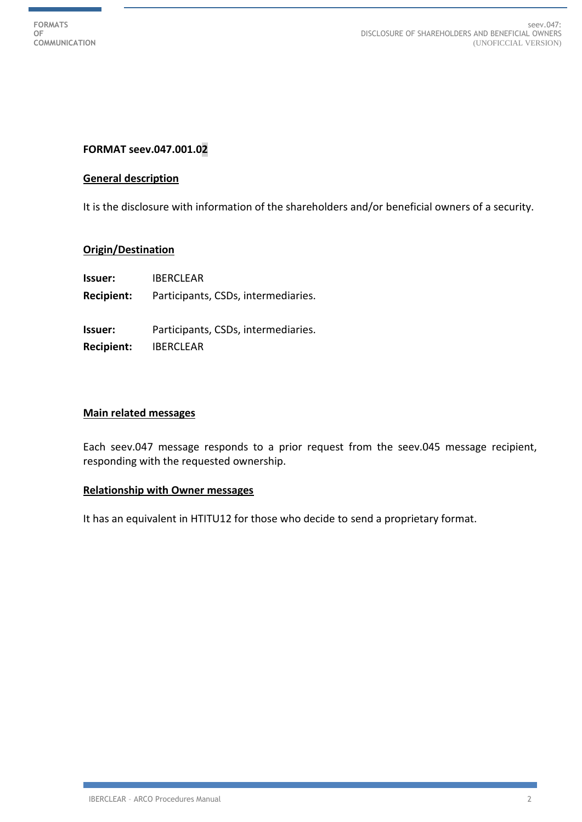## **FORMAT seev.047.001.02**

#### **General description**

It is the disclosure with information of the shareholders and/or beneficial owners of a security.

### **Origin/Destination**

| <b>Issuer:</b>                      | <b>IBERCLEAR</b>                                        |
|-------------------------------------|---------------------------------------------------------|
| <b>Recipient:</b>                   | Participants, CSDs, intermediaries.                     |
| <b>Issuer:</b><br><b>Recipient:</b> | Participants, CSDs, intermediaries.<br><b>IBERCLEAR</b> |
|                                     |                                                         |

#### **Main related messages**

Each seev.047 message responds to a prior request from the seev.045 message recipient, responding with the requested ownership.

### **Relationship with Owner messages**

It has an equivalent in HTITU12 for those who decide to send a proprietary format.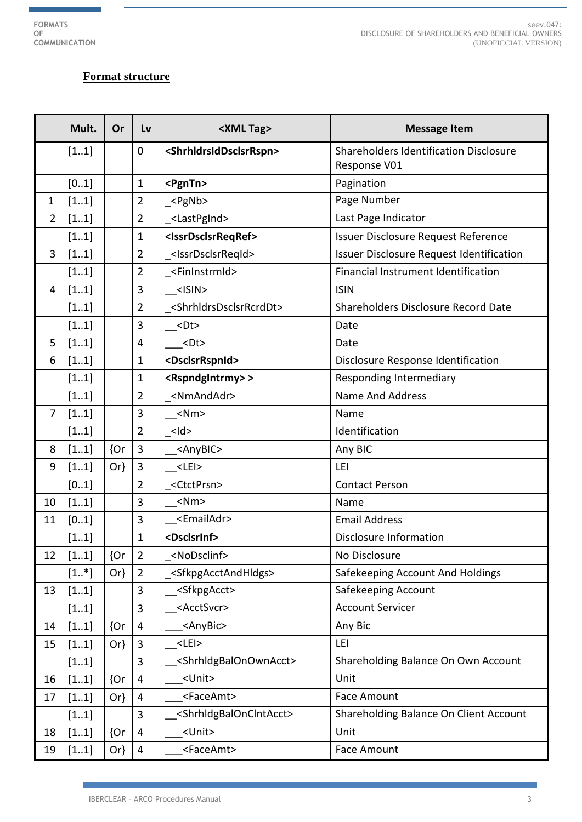ł

# **Format structure**

|                | Mult.  | Or     | Lv                      | <xml tag=""></xml>                            | <b>Message Item</b>                                           |
|----------------|--------|--------|-------------------------|-----------------------------------------------|---------------------------------------------------------------|
|                | [11]   |        | $\mathbf 0$             | <shrhldrsiddsclsrrspn></shrhldrsiddsclsrrspn> | <b>Shareholders Identification Disclosure</b><br>Response V01 |
|                | [01]   |        | $\mathbf 1$             | <pgntn></pgntn>                               | Pagination                                                    |
| 1              | [11]   |        | $\overline{2}$          | $_{\text{-}}$ <pgnb></pgnb>                   | Page Number                                                   |
| $\overline{2}$ | [11]   |        | $\overline{2}$          | _ <lastpgind></lastpgind>                     | Last Page Indicator                                           |
|                | [11]   |        | $\mathbf 1$             | <issrdsclsrreqref></issrdsclsrreqref>         | Issuer Disclosure Request Reference                           |
| 3              | [11]   |        | $\overline{2}$          | <lssrdsclsrreqid></lssrdsclsrreqid>           | Issuer Disclosure Request Identification                      |
|                | [11]   |        | $\overline{2}$          | <fininstrmid></fininstrmid>                   | Financial Instrument Identification                           |
| 4              | [11]   |        | 3                       | $<$ ISIN $>$                                  | <b>ISIN</b>                                                   |
|                | [11]   |        | $\overline{2}$          | <shrhldrsdsclsrrcrddt></shrhldrsdsclsrrcrddt> | Shareholders Disclosure Record Date                           |
|                | [11]   |        | 3                       | $<$ Dt $>$                                    | Date                                                          |
| 5              | [11]   |        | 4                       | $<$ Dt $>$                                    | Date                                                          |
| 6              | [11]   |        | 1                       | <dsclsrrspnid></dsclsrrspnid>                 | Disclosure Response Identification                            |
|                | [11]   |        | $\mathbf 1$             | <rspndgintrmy>&gt;</rspndgintrmy>             | Responding Intermediary                                       |
|                | [11]   |        | $\overline{2}$          | <nmandadr></nmandadr>                         | <b>Name And Address</b>                                       |
| $\overline{7}$ | [11]   |        | 3                       | $<$ Nm $>$                                    | Name                                                          |
|                | [11]   |        | $\overline{2}$          | <ld></ld>                                     | Identification                                                |
| 8              | [11]   | ${or}$ | $\overline{3}$          | <anybic></anybic>                             | Any BIC                                                       |
| 9              | [11]   | $Or\}$ | $\overline{3}$          | $<$ LEI $>$                                   | LEI                                                           |
|                | [01]   |        | $\overline{2}$          | <ctctprsn></ctctprsn>                         | <b>Contact Person</b>                                         |
| 10             | [11]   |        | $\overline{3}$          | $<$ Nm $>$                                    | Name                                                          |
| 11             | [01]   |        | 3                       | <emailadr></emailadr>                         | <b>Email Address</b>                                          |
|                | [11]   |        | $\mathbf 1$             | <dsclsrinf></dsclsrinf>                       | Disclosure Information                                        |
| 12             | [11]   | ${Or}$ | $\overline{2}$          | <nodsclinf></nodsclinf>                       | No Disclosure                                                 |
|                | $[1*]$ | $Or\}$ | $\overline{2}$          | <sfkpgacctandhldgs></sfkpgacctandhldgs>       | Safekeeping Account And Holdings                              |
| 13             | [11]   |        | 3                       | <sfkpgacct></sfkpgacct>                       | Safekeeping Account                                           |
|                | [11]   |        | 3                       | <acctsvcr></acctsvcr>                         | <b>Account Servicer</b>                                       |
| 14             | [11]   | ${or}$ | $\overline{\mathbf{4}}$ | <anybic></anybic>                             | Any Bic                                                       |
| 15             | [11]   | $Or\}$ | 3                       | $<$ LEI $>$                                   | LEI                                                           |
|                | [11]   |        | 3                       | <shrhldgbalonownacct></shrhldgbalonownacct>   | Shareholding Balance On Own Account                           |
| 16             | [11]   | {Or    | $\overline{4}$          | <unit></unit>                                 | Unit                                                          |
| 17             | [11]   | $Or\}$ | 4                       | <faceamt></faceamt>                           | <b>Face Amount</b>                                            |
|                | [11]   |        | 3                       | <shrhldgbalonclntacct></shrhldgbalonclntacct> | Shareholding Balance On Client Account                        |
| 18             | [11]   | ${or}$ | $\overline{4}$          | <unit></unit>                                 | Unit                                                          |
| 19             | [11]   | $Or\}$ | 4                       | <faceamt></faceamt>                           | Face Amount                                                   |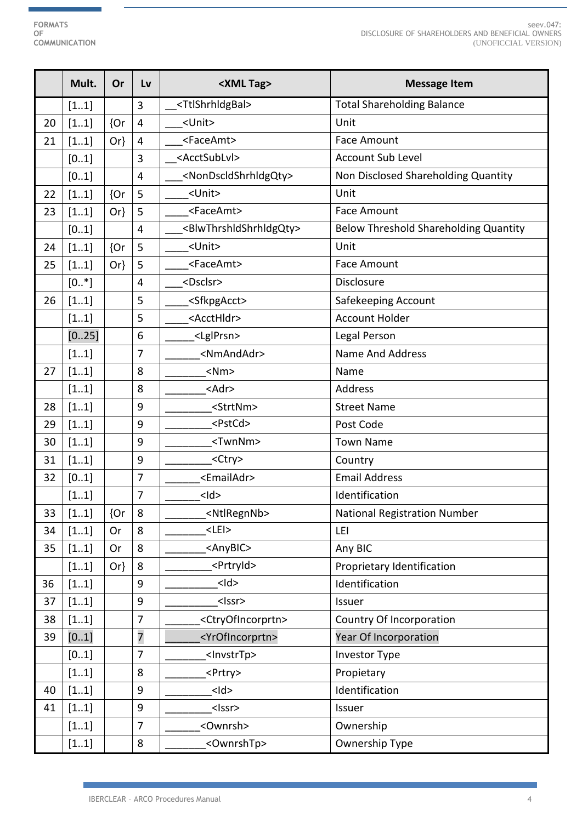ł

|    | Mult.    | Or     | Lv             | <xml tag=""></xml>                            | <b>Message Item</b>                          |
|----|----------|--------|----------------|-----------------------------------------------|----------------------------------------------|
|    | [11]     |        | 3              | <ttlshrhldgbal></ttlshrhldgbal>               | <b>Total Shareholding Balance</b>            |
| 20 | [11]     | {Or    | $\overline{4}$ | <unit></unit>                                 | Unit                                         |
| 21 | [11]     | $Or\}$ | $\overline{4}$ | <faceamt></faceamt>                           | <b>Face Amount</b>                           |
|    | [01]     |        | 3              | <acctsublvl></acctsublvl>                     | <b>Account Sub Level</b>                     |
|    | [01]     |        | 4              | <nondscldshrhldgqty></nondscldshrhldgqty>     | Non Disclosed Shareholding Quantity          |
| 22 | [11]     | ${or}$ | 5              | <unit></unit>                                 | Unit                                         |
| 23 | [11]     | $Or\}$ | 5              | <faceamt></faceamt>                           | <b>Face Amount</b>                           |
|    | [01]     |        | 4              | <blwthrshldshrhldgqty></blwthrshldshrhldgqty> | <b>Below Threshold Shareholding Quantity</b> |
| 24 | [11]     | ${or}$ | 5              | <unit></unit>                                 | Unit                                         |
| 25 | [11]     | $Or\}$ | 5              | <faceamt></faceamt>                           | <b>Face Amount</b>                           |
|    | $[0.$ *] |        | 4              | <dsclsr></dsclsr>                             | Disclosure                                   |
| 26 | [11]     |        | 5              | <sfkpgacct></sfkpgacct>                       | Safekeeping Account                          |
|    | [11]     |        | 5              | <accthldr></accthldr>                         | <b>Account Holder</b>                        |
|    | [025]    |        | 6              | <lglprsn></lglprsn>                           | Legal Person                                 |
|    | [11]     |        | $\overline{7}$ | <nmandadr></nmandadr>                         | <b>Name And Address</b>                      |
| 27 | [11]     |        | 8              | $<$ Nm $>$                                    | Name                                         |
|    | [11]     |        | 8              | <adr></adr>                                   | Address                                      |
| 28 | [11]     |        | 9              | <strtnm></strtnm>                             | <b>Street Name</b>                           |
| 29 | [11]     |        | 9              | <pstcd></pstcd>                               | Post Code                                    |
| 30 | [11]     |        | 9              | <twnnm></twnnm>                               | <b>Town Name</b>                             |
| 31 | [11]     |        | 9              | <ctry></ctry>                                 | Country                                      |
| 32 | [01]     |        | 7              | <emailadr></emailadr>                         | <b>Email Address</b>                         |
|    | [11]     |        | 7              | $<$ Id $>$                                    | Identification                               |
| 33 | [11]     | {Or    | 8              | <ntlregnnb></ntlregnnb>                       | <b>National Registration Number</b>          |
| 34 | [11]     | Or     | 8              | $<$ LEI $>$                                   | LEI                                          |
| 35 | [11]     | Or     | 8              | <anybic></anybic>                             | Any BIC                                      |
|    | [11]     | $Or\}$ | 8              | <prtryid></prtryid>                           | Proprietary Identification                   |
| 36 | $[11]$   |        | 9              | $<$ ld>                                       | Identification                               |
| 37 | [11]     |        | 9              | <lssr></lssr>                                 | Issuer                                       |
| 38 | [11]     |        | 7              | <ctryofincorprtn></ctryofincorprtn>           | Country Of Incorporation                     |
| 39 | [01]     |        | $\overline{7}$ | <yrofincorprtn></yrofincorprtn>               | Year Of Incorporation                        |
|    | [01]     |        | $\overline{7}$ | <lnvstrtp></lnvstrtp>                         | <b>Investor Type</b>                         |
|    | [11]     |        | 8              | <prtry></prtry>                               | Propietary                                   |
| 40 | [11]     |        | 9              | $<$ Id $>$                                    | Identification                               |
| 41 | [11]     |        | 9              | $<$ Issr>                                     | Issuer                                       |
|    | [11]     |        | 7              | <ownrsh></ownrsh>                             | Ownership                                    |
|    | [11]     |        | 8              | <ownrshtp></ownrshtp>                         | Ownership Type                               |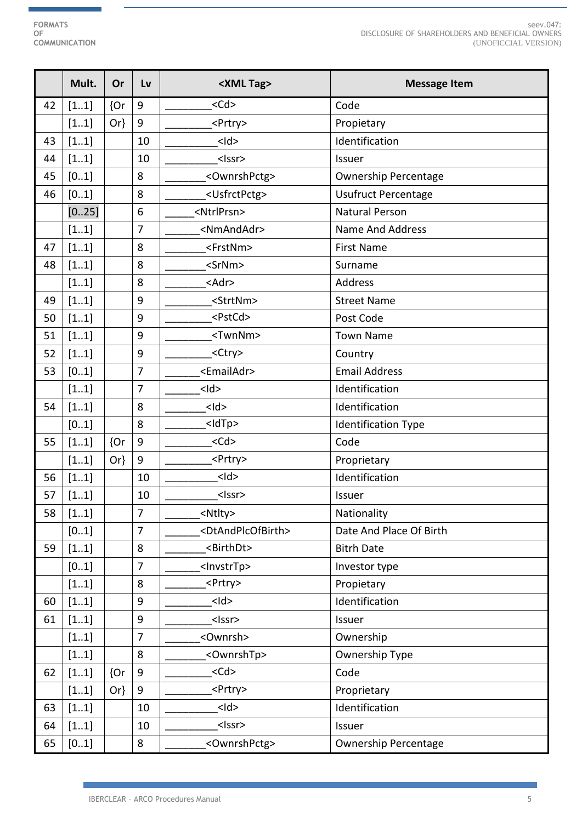ŧ

|    | Mult. | Or     | Lv               | <xml tag=""></xml>                  | <b>Message Item</b>         |
|----|-------|--------|------------------|-------------------------------------|-----------------------------|
| 42 | [11]  | {Or    | 9                | $<$ Cd $>$                          | Code                        |
|    | [11]  | $Or\}$ | $\boldsymbol{9}$ | <prtry></prtry>                     | Propietary                  |
| 43 | [11]  |        | 10               | $<$ Id $>$                          | Identification              |
| 44 | [11]  |        | 10               | <lssr></lssr>                       | Issuer                      |
| 45 | [01]  |        | 8                | <ownrshpctg></ownrshpctg>           | <b>Ownership Percentage</b> |
| 46 | [01]  |        | 8                | <usfrctpctg></usfrctpctg>           | <b>Usufruct Percentage</b>  |
|    | [025] |        | 6                | <ntrlprsn></ntrlprsn>               | <b>Natural Person</b>       |
|    | [11]  |        | $\overline{7}$   | <nmandadr></nmandadr>               | <b>Name And Address</b>     |
| 47 | [11]  |        | 8                | <frstnm></frstnm>                   | <b>First Name</b>           |
| 48 | [11]  |        | 8                | <srnm></srnm>                       | Surname                     |
|    | [11]  |        | 8                | <adr></adr>                         | Address                     |
| 49 | [11]  |        | 9                | <strtnm></strtnm>                   | <b>Street Name</b>          |
| 50 | [11]  |        | 9                | <pstcd></pstcd>                     | Post Code                   |
| 51 | [11]  |        | 9                | <twnnm></twnnm>                     | <b>Town Name</b>            |
| 52 | [11]  |        | 9                | <ctry></ctry>                       | Country                     |
| 53 | [01]  |        | $\overline{7}$   | <emailadr></emailadr>               | <b>Email Address</b>        |
|    | [11]  |        | $\overline{7}$   | $<$ Id $>$                          | Identification              |
| 54 | [11]  |        | 8                | $<$ Id $>$                          | Identification              |
|    | [01]  |        | 8                | <ldtp></ldtp>                       | <b>Identification Type</b>  |
| 55 | [11]  | {Or    | $\boldsymbol{9}$ | $<$ Cd $>$                          | Code                        |
|    | [11]  | $Or\}$ | $\boldsymbol{9}$ | <prtry></prtry>                     | Proprietary                 |
| 56 | [11]  |        | 10               | $<$ Id $>$                          | Identification              |
| 57 | [11]  |        | 10               | $<$ Issr>                           | Issuer                      |
| 58 | [11]  |        | 7                | <ntlty></ntlty>                     | Nationality                 |
|    | [01]  |        | $\overline{7}$   | <dtandplcofbirth></dtandplcofbirth> | Date And Place Of Birth     |
| 59 | [11]  |        | 8                | <birthdt></birthdt>                 | <b>Bitrh Date</b>           |
|    | [01]  |        | $\overline{7}$   | <lnvstrtp></lnvstrtp>               | Investor type               |
|    | [11]  |        | 8                | <prtry></prtry>                     | Propietary                  |
| 60 | [11]  |        | 9                | $<$ Id $>$                          | Identification              |
| 61 | [11]  |        | 9                | <lssr></lssr>                       | Issuer                      |
|    | [11]  |        | $\overline{7}$   | <ownrsh></ownrsh>                   | Ownership                   |
|    | [11]  |        | 8                | <ownrshtp></ownrshtp>               | Ownership Type              |
| 62 | [11]  | ${or}$ | 9                | $<$ Cd $>$                          | Code                        |
|    | [11]  | $Or\}$ | 9                | <prtry></prtry>                     | Proprietary                 |
| 63 | [11]  |        | 10               | $<$ Id $>$                          | Identification              |
| 64 | [11]  |        | 10               | $<$ Issr>                           | Issuer                      |
| 65 | [01]  |        | 8                | <ownrshpctg></ownrshpctg>           | <b>Ownership Percentage</b> |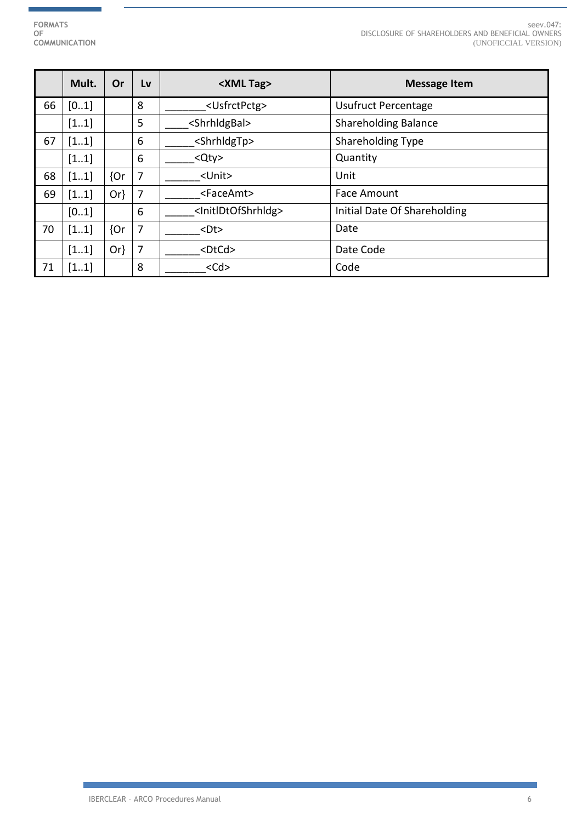Ť.

seev.047: DISCLOSURE OF SHAREHOLDERS AND BENEFICIAL OWNERS (UNOFICCIAL VERSION)

|    | Mult. | <b>Or</b> | Lv | <xml tag=""></xml>                    | <b>Message Item</b>          |
|----|-------|-----------|----|---------------------------------------|------------------------------|
| 66 | [01]  |           | 8  | <usfrctpctg></usfrctpctg>             | <b>Usufruct Percentage</b>   |
|    | [11]  |           | 5  | <shrhldgbal></shrhldgbal>             | <b>Shareholding Balance</b>  |
| 67 | [11]  |           | 6  | <shrhldgtp></shrhldgtp>               | <b>Shareholding Type</b>     |
|    | [11]  |           | 6  | Qty                                   | Quantity                     |
| 68 | [11]  | ${or}$    | 7  | <unit></unit>                         | Unit                         |
| 69 | [11]  | $Or\}$    | 7  | <faceamt></faceamt>                   | Face Amount                  |
|    | [01]  |           | 6  | <initldtofshrhldg></initldtofshrhldg> | Initial Date Of Shareholding |
| 70 | [11]  | ${or}$    | 7  | $<$ Dt $>$                            | Date                         |
|    | [11]  | $Or\}$    | 7  | $<$ DtCd $>$                          | Date Code                    |
| 71 | [11]  |           | 8  | $<$ Cd $>$                            | Code                         |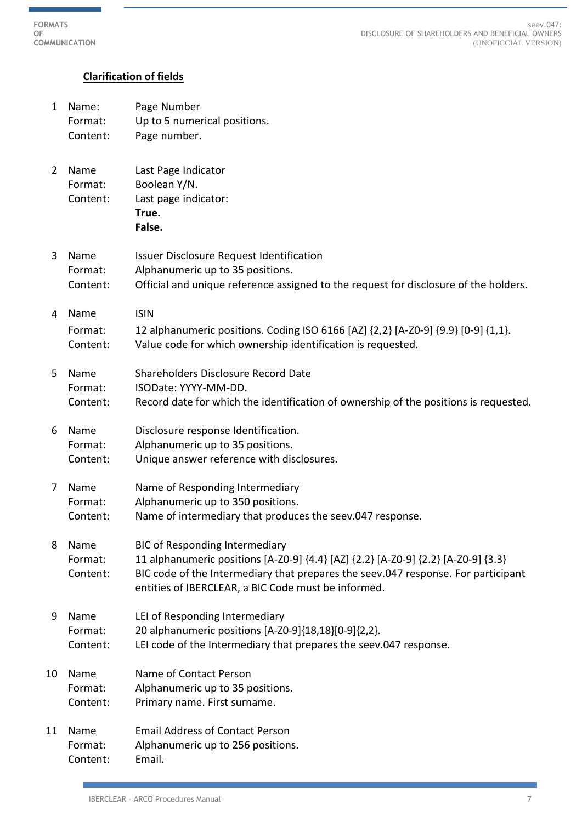seev.047: DISCLOSURE OF SHAREHOLDERS AND BENEFICIAL OWNERS (UNOFICCIAL VERSION)

## **Clarification of fields**

1 Name: Page Number Format: Up to 5 numerical positions. Content: Page number. 2 Name Last Page Indicator Format: Boolean Y/N. Content: Last page indicator: **True. False.** 3 Name Issuer Disclosure Request Identification Format: Alphanumeric up to 35 positions. Content: Official and unique reference assigned to the request for disclosure of the holders. 4 Name ISIN Format: 12 alphanumeric positions. Coding ISO 6166 [AZ] {2,2} [A-Z0-9] {9.9} [0-9] {1,1}. Content: Value code for which ownership identification is requested. 5 Name Shareholders Disclosure Record Date Format: ISODate: YYYY-MM-DD. Content: Record date for which the identification of ownership of the positions is requested. 6 Name Disclosure response Identification. Format: Alphanumeric up to 35 positions. Content: Unique answer reference with disclosures. 7 Name Name of Responding Intermediary Format: Alphanumeric up to 350 positions. Content: Name of intermediary that produces the seev.047 response. 8 Name BIC of Responding Intermediary Format: 11 alphanumeric positions [A-Z0-9] {4.4} [AZ] {2.2} [A-Z0-9] {2.2} [A-Z0-9] {3.3} Content: BIC code of the Intermediary that prepares the seev.047 response. For participant entities of IBERCLEAR, a BIC Code must be informed. 9 Name LEI of Responding Intermediary Format: 20 alphanumeric positions [A-Z0-9]{18,18}[0-9]{2,2}. Content: LEI code of the Intermediary that prepares the seev.047 response. 10 Name Name of Contact Person Format: Alphanumeric up to 35 positions. Content: Primary name. First surname. 11 Name Email Address of Contact Person Format: Alphanumeric up to 256 positions. Content: Email.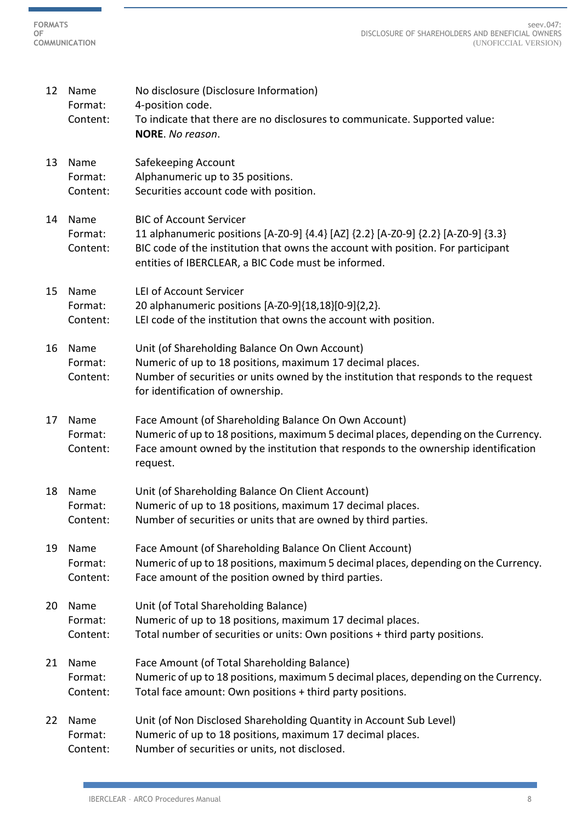| 12 | Name<br>Format:<br>Content: | No disclosure (Disclosure Information)<br>4-position code.<br>To indicate that there are no disclosures to communicate. Supported value:<br>NORE. No reason.                                                                                                   |
|----|-----------------------------|----------------------------------------------------------------------------------------------------------------------------------------------------------------------------------------------------------------------------------------------------------------|
| 13 | Name<br>Format:<br>Content: | Safekeeping Account<br>Alphanumeric up to 35 positions.<br>Securities account code with position.                                                                                                                                                              |
| 14 | Name<br>Format:<br>Content: | <b>BIC of Account Servicer</b><br>11 alphanumeric positions [A-Z0-9] {4.4} [AZ] {2.2} [A-Z0-9] {2.2} [A-Z0-9] {3.3}<br>BIC code of the institution that owns the account with position. For participant<br>entities of IBERCLEAR, a BIC Code must be informed. |
| 15 | Name<br>Format:<br>Content: | <b>LEI of Account Servicer</b><br>20 alphanumeric positions [A-Z0-9]{18,18}[0-9]{2,2}.<br>LEI code of the institution that owns the account with position.                                                                                                     |
| 16 | Name<br>Format:<br>Content: | Unit (of Shareholding Balance On Own Account)<br>Numeric of up to 18 positions, maximum 17 decimal places.<br>Number of securities or units owned by the institution that responds to the request<br>for identification of ownership.                          |
| 17 | Name<br>Format:<br>Content: | Face Amount (of Shareholding Balance On Own Account)<br>Numeric of up to 18 positions, maximum 5 decimal places, depending on the Currency.<br>Face amount owned by the institution that responds to the ownership identification<br>request.                  |
| 18 | Name<br>Format:<br>Content: | Unit (of Shareholding Balance On Client Account)<br>Numeric of up to 18 positions, maximum 17 decimal places.<br>Number of securities or units that are owned by third parties.                                                                                |
| 19 | Name<br>Format:<br>Content: | Face Amount (of Shareholding Balance On Client Account)<br>Numeric of up to 18 positions, maximum 5 decimal places, depending on the Currency.<br>Face amount of the position owned by third parties.                                                          |
| 20 | Name<br>Format:<br>Content: | Unit (of Total Shareholding Balance)<br>Numeric of up to 18 positions, maximum 17 decimal places.<br>Total number of securities or units: Own positions + third party positions.                                                                               |
| 21 | Name<br>Format:<br>Content: | Face Amount (of Total Shareholding Balance)<br>Numeric of up to 18 positions, maximum 5 decimal places, depending on the Currency.<br>Total face amount: Own positions + third party positions.                                                                |
| 22 | Name<br>Format:             | Unit (of Non Disclosed Shareholding Quantity in Account Sub Level)<br>Numeric of up to 18 positions, maximum 17 decimal places.                                                                                                                                |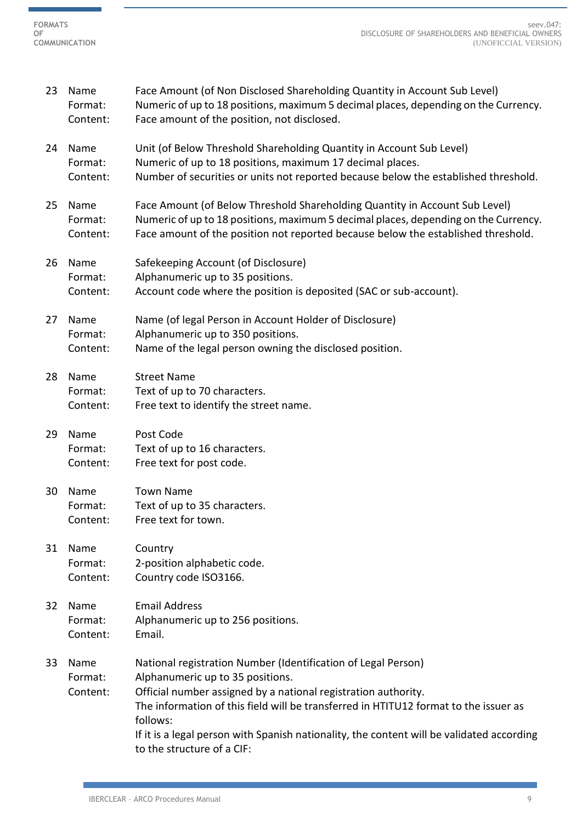ń

| 23 | Name<br>Format:<br>Content: | Face Amount (of Non Disclosed Shareholding Quantity in Account Sub Level)<br>Numeric of up to 18 positions, maximum 5 decimal places, depending on the Currency.<br>Face amount of the position, not disclosed.                                                                                                                                                                                    |
|----|-----------------------------|----------------------------------------------------------------------------------------------------------------------------------------------------------------------------------------------------------------------------------------------------------------------------------------------------------------------------------------------------------------------------------------------------|
| 24 | Name<br>Format:<br>Content: | Unit (of Below Threshold Shareholding Quantity in Account Sub Level)<br>Numeric of up to 18 positions, maximum 17 decimal places.<br>Number of securities or units not reported because below the established threshold.                                                                                                                                                                           |
| 25 | Name<br>Format:<br>Content: | Face Amount (of Below Threshold Shareholding Quantity in Account Sub Level)<br>Numeric of up to 18 positions, maximum 5 decimal places, depending on the Currency.<br>Face amount of the position not reported because below the established threshold.                                                                                                                                            |
| 26 | Name<br>Format:<br>Content: | Safekeeping Account (of Disclosure)<br>Alphanumeric up to 35 positions.<br>Account code where the position is deposited (SAC or sub-account).                                                                                                                                                                                                                                                      |
| 27 | Name<br>Format:<br>Content: | Name (of legal Person in Account Holder of Disclosure)<br>Alphanumeric up to 350 positions.<br>Name of the legal person owning the disclosed position.                                                                                                                                                                                                                                             |
| 28 | Name<br>Format:<br>Content: | <b>Street Name</b><br>Text of up to 70 characters.<br>Free text to identify the street name.                                                                                                                                                                                                                                                                                                       |
| 29 | Name<br>Format:<br>Content: | Post Code<br>Text of up to 16 characters.<br>Free text for post code.                                                                                                                                                                                                                                                                                                                              |
| 30 | Name<br>Format:<br>Content: | <b>Town Name</b><br>Text of up to 35 characters.<br>Free text for town.                                                                                                                                                                                                                                                                                                                            |
| 31 | Name<br>Format:<br>Content: | Country<br>2-position alphabetic code.<br>Country code ISO3166.                                                                                                                                                                                                                                                                                                                                    |
| 32 | Name<br>Format:<br>Content: | <b>Email Address</b><br>Alphanumeric up to 256 positions.<br>Email.                                                                                                                                                                                                                                                                                                                                |
| 33 | Name<br>Format:<br>Content: | National registration Number (Identification of Legal Person)<br>Alphanumeric up to 35 positions.<br>Official number assigned by a national registration authority.<br>The information of this field will be transferred in HTITU12 format to the issuer as<br>follows:<br>If it is a legal person with Spanish nationality, the content will be validated according<br>to the structure of a CIF: |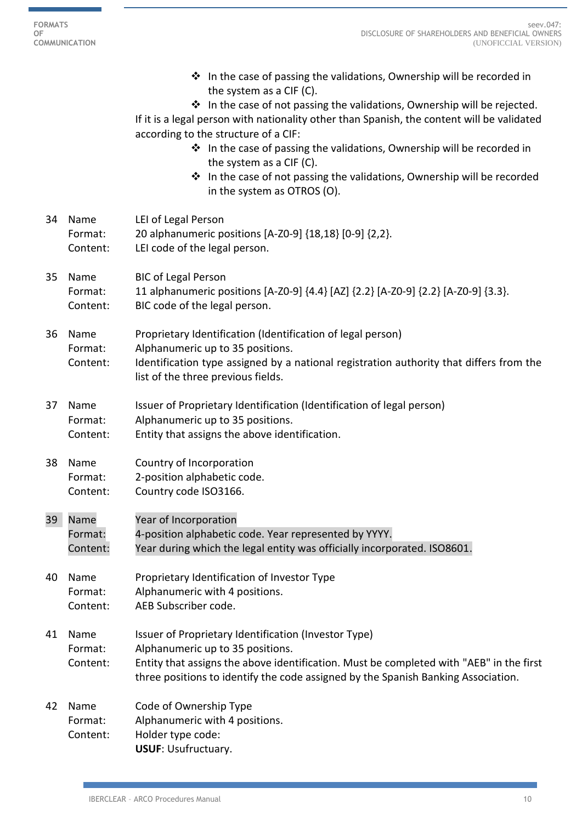$\overline{\phantom{0}}$ 

|    |                             | $\cdot$ In the case of passing the validations, Ownership will be recorded in<br>the system as a CIF (C).<br>❖ In the case of not passing the validations, Ownership will be rejected.<br>If it is a legal person with nationality other than Spanish, the content will be validated<br>according to the structure of a CIF:<br>❖ In the case of passing the validations, Ownership will be recorded in<br>the system as a CIF (C).<br>❖ In the case of not passing the validations, Ownership will be recorded<br>in the system as OTROS (O). |
|----|-----------------------------|------------------------------------------------------------------------------------------------------------------------------------------------------------------------------------------------------------------------------------------------------------------------------------------------------------------------------------------------------------------------------------------------------------------------------------------------------------------------------------------------------------------------------------------------|
| 34 | Name<br>Format:<br>Content: | LEI of Legal Person<br>20 alphanumeric positions [A-Z0-9] {18,18} [0-9] {2,2}.<br>LEI code of the legal person.                                                                                                                                                                                                                                                                                                                                                                                                                                |
| 35 | Name<br>Format:<br>Content: | <b>BIC of Legal Person</b><br>11 alphanumeric positions [A-Z0-9] {4.4} [AZ] {2.2} [A-Z0-9] {2.2} [A-Z0-9] {3.3}.<br>BIC code of the legal person.                                                                                                                                                                                                                                                                                                                                                                                              |
| 36 | Name<br>Format:<br>Content: | Proprietary Identification (Identification of legal person)<br>Alphanumeric up to 35 positions.<br>Identification type assigned by a national registration authority that differs from the<br>list of the three previous fields.                                                                                                                                                                                                                                                                                                               |
| 37 | Name<br>Format:<br>Content: | Issuer of Proprietary Identification (Identification of legal person)<br>Alphanumeric up to 35 positions.<br>Entity that assigns the above identification.                                                                                                                                                                                                                                                                                                                                                                                     |
| 38 | Name<br>Format:<br>Content: | Country of Incorporation<br>2-position alphabetic code.<br>Country code ISO3166.                                                                                                                                                                                                                                                                                                                                                                                                                                                               |
| 39 | Name<br>Format:<br>Content: | Year of Incorporation<br>4-position alphabetic code. Year represented by YYYY.<br>Year during which the legal entity was officially incorporated. ISO8601.                                                                                                                                                                                                                                                                                                                                                                                     |
| 40 | Name<br>Format:<br>Content: | Proprietary Identification of Investor Type<br>Alphanumeric with 4 positions.<br>AEB Subscriber code.                                                                                                                                                                                                                                                                                                                                                                                                                                          |
| 41 | Name<br>Format:<br>Content: | Issuer of Proprietary Identification (Investor Type)<br>Alphanumeric up to 35 positions.<br>Entity that assigns the above identification. Must be completed with "AEB" in the first<br>three positions to identify the code assigned by the Spanish Banking Association.                                                                                                                                                                                                                                                                       |
| 42 | Name<br>Format:<br>Content: | Code of Ownership Type<br>Alphanumeric with 4 positions.<br>Holder type code:<br><b>USUF: Usufructuary.</b>                                                                                                                                                                                                                                                                                                                                                                                                                                    |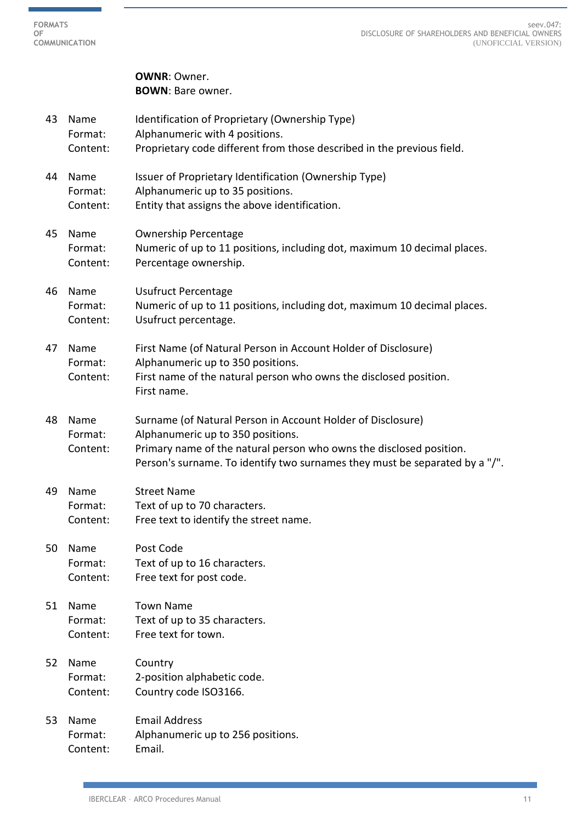**FORMATS OF COMMUNICATION**

> **OWNR**: Owner. **BOWN**: Bare owner.

43 Name Identification of Proprietary (Ownership Type) Format: Alphanumeric with 4 positions. Content: Proprietary code different from those described in the previous field. 44 Name Issuer of Proprietary Identification (Ownership Type) Format: Alphanumeric up to 35 positions. Content: Entity that assigns the above identification. 45 Name Ownership Percentage Format: Numeric of up to 11 positions, including dot, maximum 10 decimal places. Content: Percentage ownership. 46 Name Usufruct Percentage Format: Numeric of up to 11 positions, including dot, maximum 10 decimal places. Content: Usufruct percentage. 47 Name First Name (of Natural Person in Account Holder of Disclosure) Format: Alphanumeric up to 350 positions. Content: First name of the natural person who owns the disclosed position. First name. 48 Name Surname (of Natural Person in Account Holder of Disclosure) Format: Alphanumeric up to 350 positions. Content: Primary name of the natural person who owns the disclosed position. Person's surname. To identify two surnames they must be separated by a "/". 49 Name Street Name Format: Text of up to 70 characters. Content: Free text to identify the street name. 50 Name Post Code Format: Text of up to 16 characters. Content: Free text for post code. 51 Name Town Name Format: Text of up to 35 characters. Content: Free text for town. 52 Name Country Format: 2-position alphabetic code. Content: Country code ISO3166. 53 Name Email Address Format: Alphanumeric up to 256 positions. Content: Email.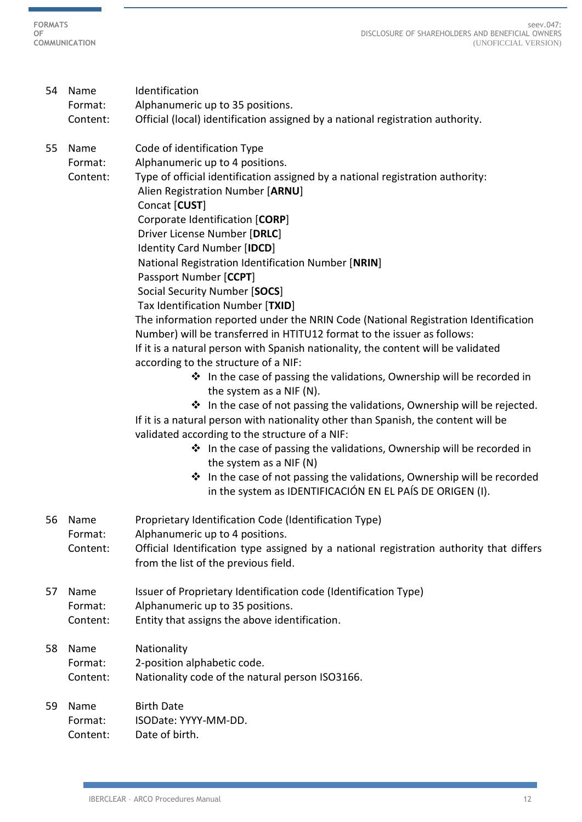**FORMATS OF COMMUNICATION**

> 54 Name Identification Format: Alphanumeric up to 35 positions. Content: Official (local) identification assigned by a national registration authority. 55 Name Code of identification Type Format: Alphanumeric up to 4 positions. Content: Type of official identification assigned by a national registration authority: Alien Registration Number [**ARNU**] Concat [**CUST**] Corporate Identification [**CORP**] Driver License Number [**DRLC**] Identity Card Number [**IDCD**] National Registration Identification Number [**NRIN**] Passport Number [**CCPT**] Social Security Number [**SOCS**] Tax Identification Number [**TXID**] The information reported under the NRIN Code (National Registration Identification Number) will be transferred in HTITU12 format to the issuer as follows: If it is a natural person with Spanish nationality, the content will be validated according to the structure of a NIF: ❖ In the case of passing the validations, Ownership will be recorded in the system as a NIF (N).  $\cdot$  In the case of not passing the validations, Ownership will be rejected. If it is a natural person with nationality other than Spanish, the content will be validated according to the structure of a NIF: ❖ In the case of passing the validations, Ownership will be recorded in the system as a NIF (N) ❖ In the case of not passing the validations, Ownership will be recorded in the system as IDENTIFICACIÓN EN EL PAÍS DE ORIGEN (I). 56 Name Proprietary Identification Code (Identification Type) Format: Alphanumeric up to 4 positions. Content: Official Identification type assigned by a national registration authority that differs from the list of the previous field. 57 Name Issuer of Proprietary Identification code (Identification Type) Format: Alphanumeric up to 35 positions. Content: Entity that assigns the above identification. 58 Name Nationality Format: 2-position alphabetic code. Content: Nationality code of the natural person ISO3166. 59 Name Birth Date Format: ISODate: YYYY-MM-DD. Content: Date of birth.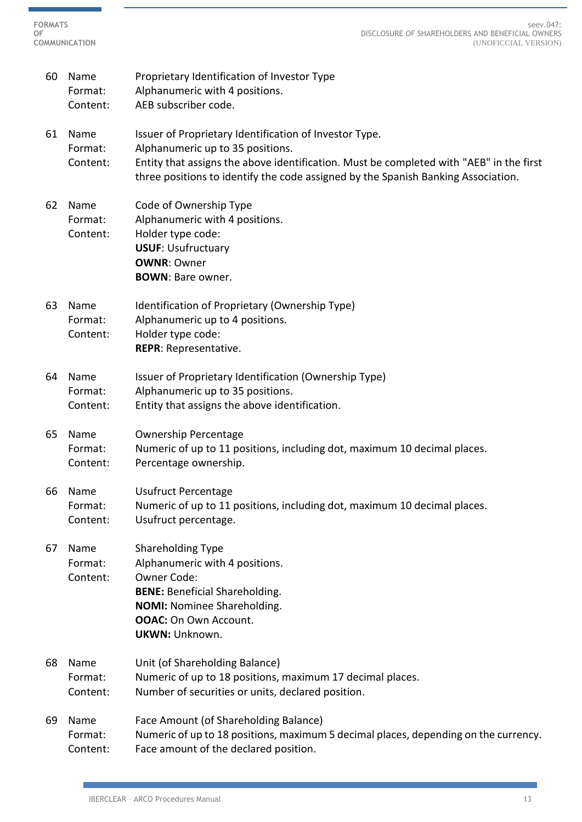- 60 Name Proprietary Identification of Investor Type Format: Alphanumeric with 4 positions. Content: AEB subscriber code.
- 61 Name Issuer of Proprietary Identification of Investor Type. Format: Alphanumeric up to 35 positions. Content: Entity that assigns the above identification. Must be completed with "AEB" in the first three positions to identify the code assigned by the Spanish Banking Association.
- 62 Name Code of Ownership Type Format: Alphanumeric with 4 positions. Content: Holder type code: **USUF**: Usufructuary **OWNR**: Owner **BOWN**: Bare owner.
- 63 Name Identification of Proprietary (Ownership Type) Format: Alphanumeric up to 4 positions. Content: Holder type code: **REPR**: Representative.
- 64 Name Issuer of Proprietary Identification (Ownership Type) Format: Alphanumeric up to 35 positions. Content: Entity that assigns the above identification.
- 65 Name Ownership Percentage Format: Numeric of up to 11 positions, including dot, maximum 10 decimal places. Content: Percentage ownership.
- 66 Name Usufruct Percentage Format: Numeric of up to 11 positions, including dot, maximum 10 decimal places. Content: Usufruct percentage.
- 67 Name Shareholding Type Format: Alphanumeric with 4 positions. Content: Owner Code: **BENE:** Beneficial Shareholding. **NOMI:** Nominee Shareholding. **OOAC:** On Own Account. **UKWN:** Unknown.
- 68 Name Unit (of Shareholding Balance) Format: Numeric of up to 18 positions, maximum 17 decimal places. Content: Number of securities or units, declared position.

## 69 Name Face Amount (of Shareholding Balance) Format: Numeric of up to 18 positions, maximum 5 decimal places, depending on the currency. Content: Face amount of the declared position.